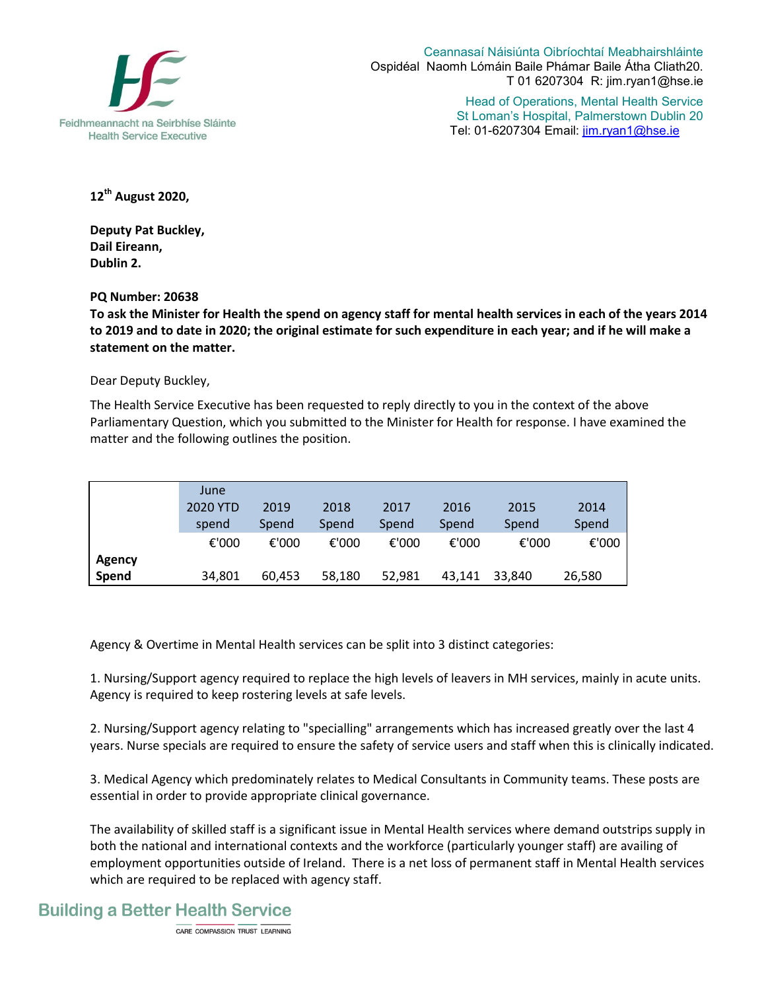

Ceannasaí Náisiúnta Oibríochtaí Meabhairshláinte Ospidéal Naomh Lómáin Baile Phámar Baile Átha Cliath20. T 01 6207304 R: jim.ryan1@hse.ie

> Head of Operations, Mental Health Service St Loman's Hospital, Palmerstown Dublin 20 Tel: 01-6207304 Email: jim.ryan1@hse.ie

**12th August 2020,** 

**Deputy Pat Buckley, Dail Eireann, Dublin 2.** 

**PQ Number: 20638** 

**To ask the Minister for Health the spend on agency staff for mental health services in each of the years 2014 to 2019 and to date in 2020; the original estimate for such expenditure in each year; and if he will make a statement on the matter.** 

Dear Deputy Buckley,

The Health Service Executive has been requested to reply directly to you in the context of the above Parliamentary Question, which you submitted to the Minister for Health for response. I have examined the matter and the following outlines the position.

|               | June     |        |        |        |        |        |        |
|---------------|----------|--------|--------|--------|--------|--------|--------|
|               | 2020 YTD | 2019   | 2018   | 2017   | 2016   | 2015   | 2014   |
|               | spend    | Spend  | Spend  | Spend  | Spend  | Spend  | Spend  |
|               | €'000    | €'000  | €'000  | €'000  | €'000  | €'000  | €'000  |
| <b>Agency</b> |          |        |        |        |        |        |        |
| Spend         | 34,801   | 60,453 | 58,180 | 52,981 | 43,141 | 33,840 | 26,580 |

Agency & Overtime in Mental Health services can be split into 3 distinct categories:

1. Nursing/Support agency required to replace the high levels of leavers in MH services, mainly in acute units. Agency is required to keep rostering levels at safe levels.

2. Nursing/Support agency relating to "specialling" arrangements which has increased greatly over the last 4 years. Nurse specials are required to ensure the safety of service users and staff when this is clinically indicated.

3. Medical Agency which predominately relates to Medical Consultants in Community teams. These posts are essential in order to provide appropriate clinical governance.

The availability of skilled staff is a significant issue in Mental Health services where demand outstrips supply in both the national and international contexts and the workforce (particularly younger staff) are availing of employment opportunities outside of Ireland. There is a net loss of permanent staff in Mental Health services which are required to be replaced with agency staff.

## **Building a Better Health Service**

CARE COMPASSION TRUST LEARNING